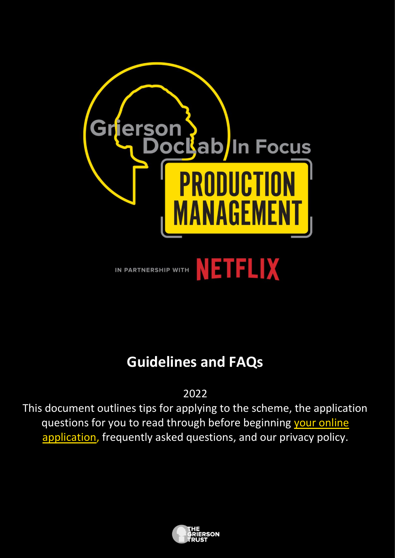

# **Guidelines and FAQs**

2022

This document outlines tips for applying to the scheme, the application questions for you to read through before beginning your online [application,](https://griersontrust.typeform.com/GDLIF22PM) frequently asked questions, and our privacy policy.

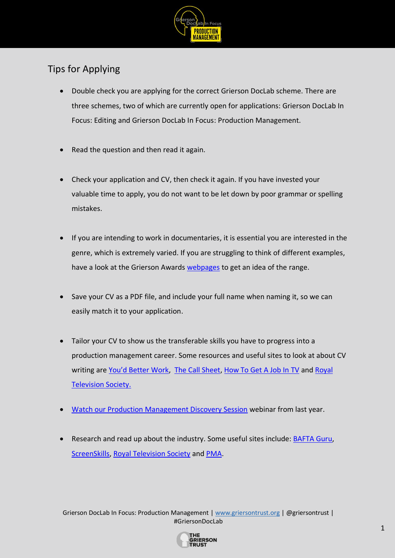

## Tips for Applying

- Double check you are applying for the correct Grierson DocLab scheme. There are three schemes, two of which are currently open for applications: Grierson DocLab In Focus: Editing and Grierson DocLab In Focus: Production Management.
- Read the question and then read it again.
- Check your application and CV, then check it again. If you have invested your valuable time to apply, you do not want to be let down by poor grammar or spelling mistakes.
- If you are intending to work in documentaries, it is essential you are interested in the genre, which is extremely varied. If you are struggling to think of different examples, have a look at the Grierson Awards [webpages](https://griersontrust.org/grierson-awards/the-grierson-awards/about-the-grierson-awards/) to get an idea of the range.
- Save your CV as a PDF file, and include your full name when naming it, so we can easily match it to your application.
- Tailor your CV to show us the transferable skills you have to progress into a production management career. Some resources and useful sites to look at about CV writing are [You'd Better Work](https://youdbetterwork.com/creating-the-perfect-cv/), [The Call Sheet,](http://www.thecallsheet.co.uk/news/how-write-cv-film-and-tv-drama-excerpt-breaking-uk-film-and-tv-drama) [How To Get A Job In TV](http://www.elsasharp.co.uk/books/book) and Royal [Television Society.](https://rts.org.uk/education-training/writing-cv)
- [Watch our Production Management Discovery Session](https://www.youtube.com/watch?v=rmcA6wOqJNU&t=532s) webinar from last year.
- Research and read up about the industry. Some useful sites include[:](http://guru.bafta.org/) [BAFTA Guru](http://guru.bafta.org/)[,](https://www.screenskills.com/careers/job-profiles/unscripted-tv/) [ScreenSkills,](https://www.screenskills.com/careers/job-profiles/unscripted-tv/) [Royal Television Society](https://rts.org.uk/) and [PMA.](https://www.pma.org.uk/)

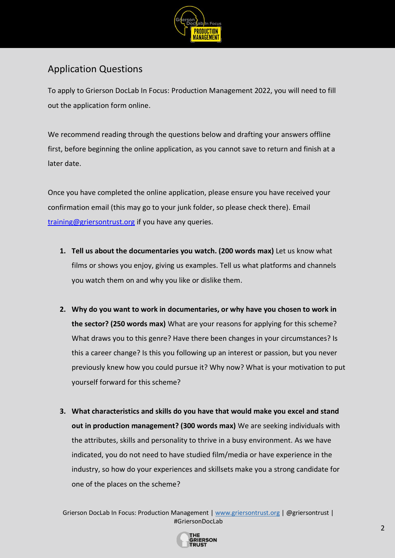

### Application Questions

To apply to Grierson DocLab In Focus: Production Management 2022, you will need to fill out the application form online.

We recommend reading through the questions below and drafting your answers offline first, before beginning the online application, as you cannot save to return and finish at a later date.

Once you have completed the online application, please ensure you have received your confirmation email (this may go to your junk folder, so please check there). Email [training@griersontrust.org](mailto:training@griersontrust.org) if you have any queries.

- **1. Tell us about the documentaries you watch. (200 words max)** Let us know what films or shows you enjoy, giving us examples. Tell us what platforms and channels you watch them on and why you like or dislike them.
- **2. Why do you want to work in documentaries, or why have you chosen to work in the sector? (250 words max)** What are your reasons for applying for this scheme? What draws you to this genre? Have there been changes in your circumstances? Is this a career change? Is this you following up an interest or passion, but you never previously knew how you could pursue it? Why now? What is your motivation to put yourself forward for this scheme?
- **3. What characteristics and skills do you have that would make you excel and stand out in production management? (300 words max)** We are seeking individuals with the attributes, skills and personality to thrive in a busy environment. As we have indicated, you do not need to have studied film/media or have experience in the industry, so how do your experiences and skillsets make you a strong candidate for one of the places on the scheme?

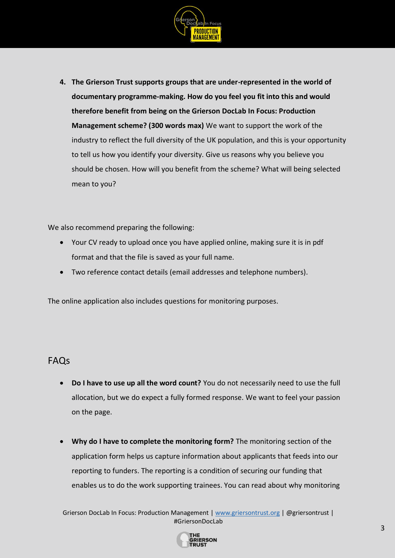

**4. The Grierson Trust supports groups that are under-represented in the world of documentary programme-making. How do you feel you fit into this and would therefore benefit from being on the Grierson DocLab In Focus: Production Management scheme? (300 words max)** We want to support the work of the industry to reflect the full diversity of the UK population, and this is your opportunity to tell us how you identify your diversity. Give us reasons why you believe you should be chosen. How will you benefit from the scheme? What will being selected mean to you?

We also recommend preparing the following:

- Your CV ready to upload once you have applied online, making sure it is in pdf format and that the file is saved as your full name.
- Two reference contact details (email addresses and telephone numbers).

The online application also includes questions for monitoring purposes.

#### FAQs

- **Do I have to use up all the word count?** You do not necessarily need to use the full allocation, but we do expect a fully formed response. We want to feel your passion on the page.
- **Why do I have to complete the monitoring form?** The monitoring section of the application form helps us capture information about applicants that feeds into our reporting to funders. The reporting is a condition of securing our funding that enables us to do the work supporting trainees. You can read about why monitoring

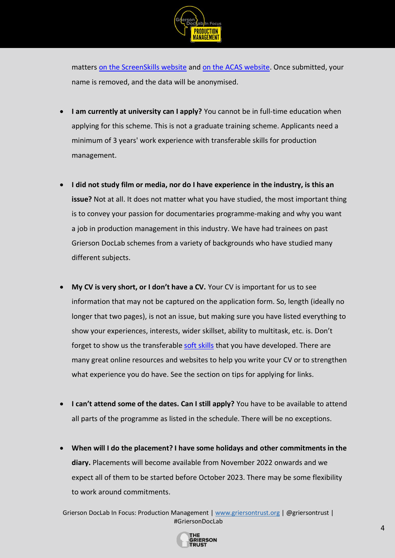

matters [on the ScreenSkills website](https://www.screenskills.com/about-us/diversity-and-inclusivity/guide-to-diversity-and-inclusivity-monitoring/) and [on the ACAS website.](https://archive.acas.org.uk/index.aspx?articleid=4071) Once submitted, your name is removed, and the data will be anonymised.

- **I am currently at university can I apply?** You cannot be in full-time education when applying for this scheme. This is not a graduate training scheme. Applicants need a minimum of 3 years' work experience with transferable skills for production management.
- **I did not study film or media, nor do I have experience in the industry, is this an issue?** Not at all. It does not matter what you have studied, the most important thing is to convey your passion for documentaries programme-making and why you want a job in production management in this industry. We have had trainees on past Grierson DocLab schemes from a variety of backgrounds who have studied many different subjects.
- **My CV is very short, or I don't have a CV.** Your CV is important for us to see information that may not be captured on the application form. So, length (ideally no longer that two pages), is not an issue, but making sure you have listed everything to show your experiences, interests, wider skillset, ability to multitask, etc. is. Don't forget to show us the transferable [soft skills](https://www.reed.co.uk/career-advice/what-are-soft-skills/) that you have developed. There are many great online resources and websites to help you write your CV or to strengthen what experience you do have. See the section on tips for applying for links.
- **I can't attend some of the dates. Can I still apply?** You have to be available to attend all parts of the programme as listed in the schedule. There will be no exceptions.
- **When will I do the placement? I have some holidays and other commitments in the diary.** Placements will become available from November 2022 onwards and we expect all of them to be started before October 2023. There may be some flexibility to work around commitments.

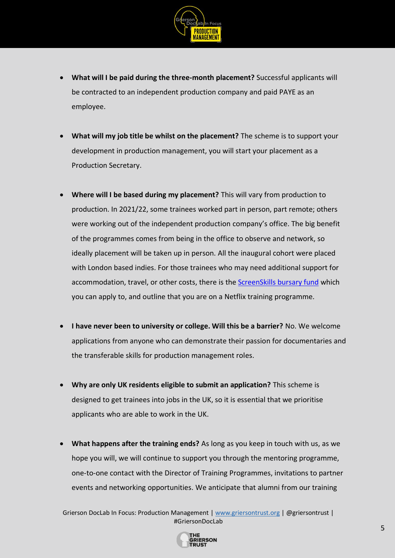

- **What will I be paid during the three-month placement?** Successful applicants will be contracted to an independent production company and paid PAYE as an employee.
- **What will my job title be whilst on the placement?** The scheme is to support your development in production management, you will start your placement as a Production Secretary.
- **Where will I be based during my placement?** This will vary from production to production. In 2021/22, some trainees worked part in person, part remote; others were working out of the independent production company's office. The big benefit of the programmes comes from being in the office to observe and network, so ideally placement will be taken up in person. All the inaugural cohort were placed with London based indies. For those trainees who may need additional support for accommodation, travel, or other costs, there is the [ScreenSkills bursary fund](https://www.screenskills.com/developing-your-career/bursary-guidelines/) which you can apply to, and outline that you are on a Netflix training programme.
- **I have never been to university or college. Will this be a barrier?** No. We welcome applications from anyone who can demonstrate their passion for documentaries and the transferable skills for production management roles.
- **Why are only UK residents eligible to submit an application?** This scheme is designed to get trainees into jobs in the UK, so it is essential that we prioritise applicants who are able to work in the UK.
- **What happens after the training ends?** As long as you keep in touch with us, as we hope you will, we will continue to support you through the mentoring programme, one-to-one contact with the Director of Training Programmes, invitations to partner events and networking opportunities. We anticipate that alumni from our training

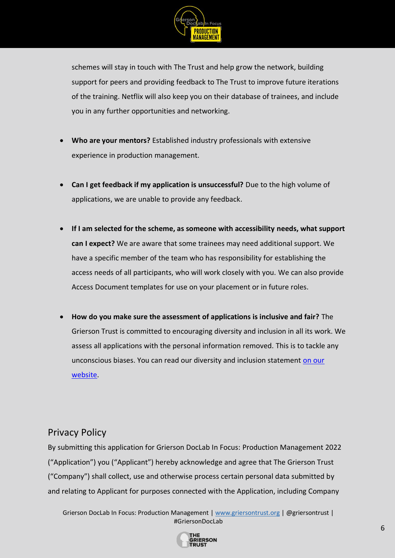

schemes will stay in touch with The Trust and help grow the network, building support for peers and providing feedback to The Trust to improve future iterations of the training. Netflix will also keep you on their database of trainees, and include you in any further opportunities and networking.

- **Who are your mentors?** Established industry professionals with extensive experience in production management.
- **Can I get feedback if my application is unsuccessful?** Due to the high volume of applications, we are unable to provide any feedback.
- **If I am selected for the scheme, as someone with accessibility needs, what support can I expect?** We are aware that some trainees may need additional support. We have a specific member of the team who has responsibility for establishing the access needs of all participants, who will work closely with you. We can also provide Access Document templates for use on your placement or in future roles.
- **How do you make sure the assessment of applications is inclusive and fair?** The Grierson Trust is committed to encouraging diversity and inclusion in all its work. We assess all applications with the personal information removed. This is to tackle any unconscious biases. You can read our diversity and inclusion statement [on our](https://griersontrust.org/about-us/diversity-statement.html)  [website.](https://griersontrust.org/about-us/diversity-statement.html)

#### Privacy Policy

By submitting this application for Grierson DocLab In Focus: Production Management 2022 ("Application") you ("Applicant") hereby acknowledge and agree that The Grierson Trust ("Company") shall collect, use and otherwise process certain personal data submitted by and relating to Applicant for purposes connected with the Application, including Company